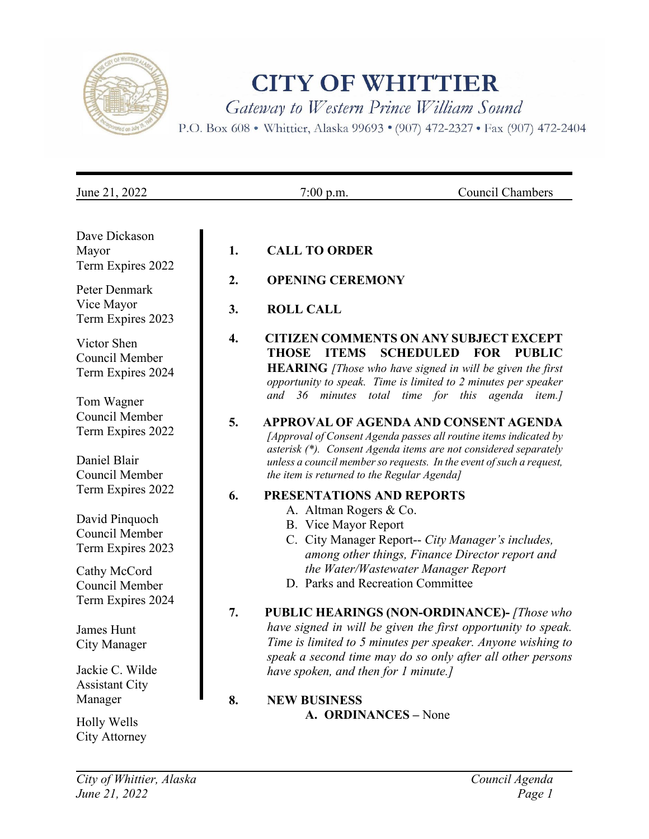

# **CITY OF WHITTIER**

Gateway to Western Prince William Sound

P.O. Box 608 . Whittier, Alaska 99693 . (907) 472-2327 . Fax (907) 472-2404

| Dave Dickason<br>Mayor<br>Term Expires 2022           | 1. | <b>CALL TO ORDER</b>                                                                                                                                                                                                                                            |
|-------------------------------------------------------|----|-----------------------------------------------------------------------------------------------------------------------------------------------------------------------------------------------------------------------------------------------------------------|
| Peter Denmark                                         | 2. | <b>OPENING CEREMONY</b>                                                                                                                                                                                                                                         |
| Vice Mayor<br>Term Expires 2023                       | 3. | <b>ROLL CALL</b>                                                                                                                                                                                                                                                |
| Victor Shen<br>Council Member<br>Term Expires 2024    | 4. | <b>CITIZEN COMMENTS ON ANY SUBJECT EXCEPT</b><br><b>ITEMS</b><br><b>SCHEDULED</b><br>THOSE<br><b>FOR</b><br><b>PUBLIC</b><br><b>HEARING</b> [Those who have signed in will be given the first<br>opportunity to speak. Time is limited to 2 minutes per speaker |
| Tom Wagner                                            |    | minutes total time for this agenda item.]<br>and 36                                                                                                                                                                                                             |
| Council Member<br>Term Expires 2022                   | 5. | APPROVAL OF AGENDA AND CONSENT AGENDA<br>[Approval of Consent Agenda passes all routine items indicated by<br>asterisk (*). Consent Agenda items are not considered separately                                                                                  |
| Daniel Blair<br>Council Member                        |    | unless a council member so requests. In the event of such a request,<br>the item is returned to the Regular Agenda]                                                                                                                                             |
| Term Expires 2022                                     | 6. | PRESENTATIONS AND REPORTS                                                                                                                                                                                                                                       |
| David Pinquoch<br>Council Member<br>Term Expires 2023 |    | A. Altman Rogers & Co.<br>B. Vice Mayor Report<br>C. City Manager Report-- City Manager's includes,<br>among other things, Finance Director report and                                                                                                          |
| Cathy McCord<br>Council Member                        |    | the Water/Wastewater Manager Report<br>D. Parks and Recreation Committee                                                                                                                                                                                        |
| Term Expires 2024                                     | 7. | <b>PUBLIC HEARINGS (NON-ORDINANCE)-</b> [Those who                                                                                                                                                                                                              |
| James Hunt<br>City Manager                            |    | have signed in will be given the first opportunity to speak.<br>Time is limited to 5 minutes per speaker. Anyone wishing to<br>speak a second time may do so only after all other persons                                                                       |
| Jackie C. Wilde<br><b>Assistant City</b>              |    | have spoken, and then for 1 minute.]                                                                                                                                                                                                                            |
| Manager                                               | 8. | <b>NEW BUSINESS</b>                                                                                                                                                                                                                                             |
| Holly Wells<br>City Attorney                          |    | A. ORDINANCES - None                                                                                                                                                                                                                                            |

June 21, 2022 7:00 p.m. Council Chambers